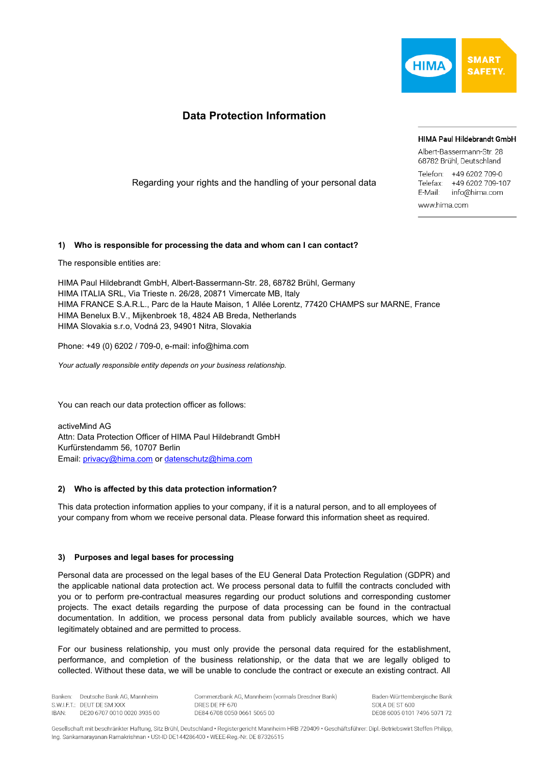

# **Data Protection Information**

#### HIMA Paul Hildebrandt GmbH

Albert-Bassermann-Str 28 68782 Brühl, Deutschland

Telefon: +49 6202 709-0 Telefax: +49 6202 709-107 E-Mail: info@hima.com www.hima.com

Regarding your rights and the handling of your personal data

## **1) Who is responsible for processing the data and whom can I can contact?**

The responsible entities are:

HIMA Paul Hildebrandt GmbH, Albert-Bassermann-Str. 28, 68782 Brühl, Germany HIMA ITALIA SRL, Via Trieste n. 26/28, 20871 Vimercate MB, Italy HIMA FRANCE S.A.R.L., Parc de la Haute Maison, 1 Allée Lorentz, 77420 CHAMPS sur MARNE, France HIMA Benelux B.V., Mijkenbroek 18, 4824 AB Breda, Netherlands HIMA Slovakia s.r.o, Vodná 23, 94901 Nitra, Slovakia

Phone: +49 (0) 6202 / 709-0, e-mail: info@hima.com

*Your actually responsible entity depends on your business relationship.*

You can reach our data protection officer as follows:

activeMind AG Attn: Data Protection Officer of HIMA Paul Hildebrandt GmbH Kurfürstendamm 56, 10707 Berlin Email: [privacy@hima.com](mailto:privacy@hima.com) or [datenschutz@hima.com](mailto:datenschutz@hima.com)

## **2) Who is affected by this data protection information?**

This data protection information applies to your company, if it is a natural person, and to all employees of your company from whom we receive personal data. Please forward this information sheet as required.

#### **3) Purposes and legal bases for processing**

Personal data are processed on the legal bases of the EU General Data Protection Regulation (GDPR) and the applicable national data protection act. We process personal data to fulfill the contracts concluded with you or to perform pre-contractual measures regarding our product solutions and corresponding customer projects. The exact details regarding the purpose of data processing can be found in the contractual documentation. In addition, we process personal data from publicly available sources, which we have legitimately obtained and are permitted to process.

For our business relationship, you must only provide the personal data required for the establishment, performance, and completion of the business relationship, or the data that we are legally obliged to collected. Without these data, we will be unable to conclude the contract or execute an existing contract. All

Banken: Deutsche Bank AG Mannheim S.W.I.F.T.: DEUT DE SM XXX DE20 6707 0010 0020 3935 00 IBAN:

Commerzbank AG, Mannheim (vormals Dresdner Bank) DRES DE FE 670 DE84 6708 0050 0661 5065 00

Baden-Württembergische Bank SOLA DE ST 600 DE08 6005 0101 7496 5071 72

Gesellschaft mit beschränkter Haftung, Sitz Brühl, Deutschland · Registergericht Mannheim HRB 720409 · Geschäftsführer: Dipl.-Betriebswirt Steffen Philipp, Ing. Sankarnarayanan Ramakrishnan · USt-ID DE144286400 · WEEE-Reg.-Nr. DE 87326515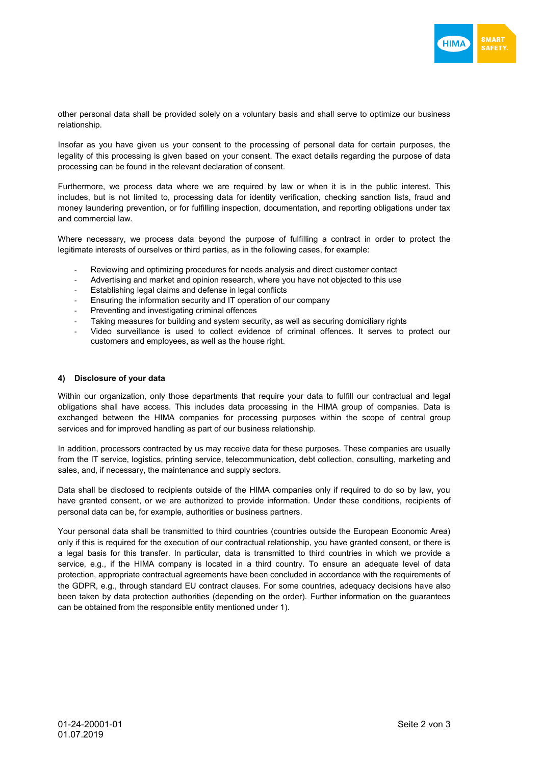

other personal data shall be provided solely on a voluntary basis and shall serve to optimize our business relationship.

Insofar as you have given us your consent to the processing of personal data for certain purposes, the legality of this processing is given based on your consent. The exact details regarding the purpose of data processing can be found in the relevant declaration of consent.

Furthermore, we process data where we are required by law or when it is in the public interest. This includes, but is not limited to, processing data for identity verification, checking sanction lists, fraud and money laundering prevention, or for fulfilling inspection, documentation, and reporting obligations under tax and commercial law.

Where necessary, we process data beyond the purpose of fulfilling a contract in order to protect the legitimate interests of ourselves or third parties, as in the following cases, for example:

- Reviewing and optimizing procedures for needs analysis and direct customer contact
- Advertising and market and opinion research, where you have not objected to this use
- Establishing legal claims and defense in legal conflicts
- Ensuring the information security and IT operation of our company
- Preventing and investigating criminal offences
- Taking measures for building and system security, as well as securing domiciliary rights
- Video surveillance is used to collect evidence of criminal offences. It serves to protect our customers and employees, as well as the house right.

#### **4) Disclosure of your data**

Within our organization, only those departments that require your data to fulfill our contractual and legal obligations shall have access. This includes data processing in the HIMA group of companies. Data is exchanged between the HIMA companies for processing purposes within the scope of central group services and for improved handling as part of our business relationship.

In addition, processors contracted by us may receive data for these purposes. These companies are usually from the IT service, logistics, printing service, telecommunication, debt collection, consulting, marketing and sales, and, if necessary, the maintenance and supply sectors.

Data shall be disclosed to recipients outside of the HIMA companies only if required to do so by law, you have granted consent, or we are authorized to provide information. Under these conditions, recipients of personal data can be, for example, authorities or business partners.

Your personal data shall be transmitted to third countries (countries outside the European Economic Area) only if this is required for the execution of our contractual relationship, you have granted consent, or there is a legal basis for this transfer. In particular, data is transmitted to third countries in which we provide a service, e.g., if the HIMA company is located in a third country. To ensure an adequate level of data protection, appropriate contractual agreements have been concluded in accordance with the requirements of the GDPR, e.g., through standard EU contract clauses. For some countries, adequacy decisions have also been taken by data protection authorities (depending on the order). Further information on the guarantees can be obtained from the responsible entity mentioned under 1).